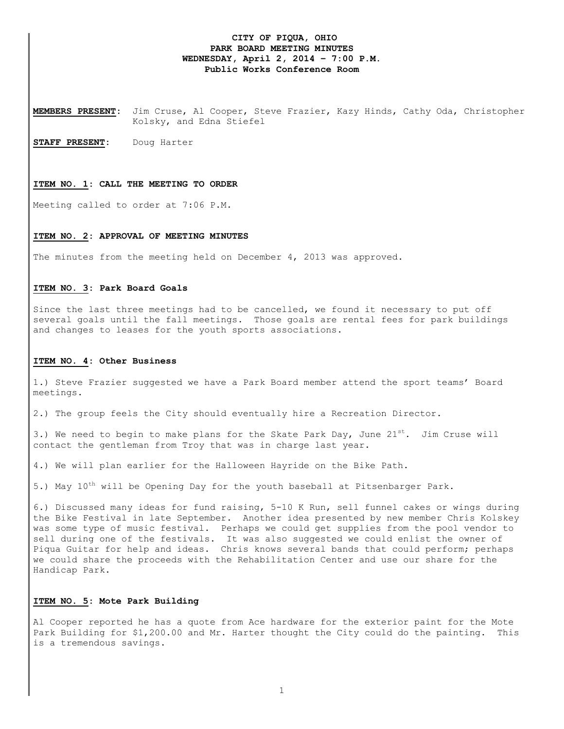# **CITY OF PIQUA, OHIO PARK BOARD MEETING MINUTES WEDNESDAY, April 2, 2014 – 7:00 P.M. Public Works Conference Room**

**MEMBERS PRESENT:** Jim Cruse, Al Cooper, Steve Frazier, Kazy Hinds, Cathy Oda, Christopher Kolsky, and Edna Stiefel

**STAFF PRESENT:** Doug Harter

#### **ITEM NO. 1: CALL THE MEETING TO ORDER**

Meeting called to order at 7:06 P.M.

#### **ITEM NO. 2: APPROVAL OF MEETING MINUTES**

The minutes from the meeting held on December 4, 2013 was approved.

# **ITEM NO. 3: Park Board Goals**

Since the last three meetings had to be cancelled, we found it necessary to put off several goals until the fall meetings. Those goals are rental fees for park buildings and changes to leases for the youth sports associations.

### **ITEM NO. 4: Other Business**

1.) Steve Frazier suggested we have a Park Board member attend the sport teams' Board meetings.

2.) The group feels the City should eventually hire a Recreation Director.

3.) We need to begin to make plans for the Skate Park Day, June  $21^{st}$ . Jim Cruse will contact the gentleman from Troy that was in charge last year.

4.) We will plan earlier for the Halloween Hayride on the Bike Path.

5.) May  $10^{th}$  will be Opening Day for the youth baseball at Pitsenbarger Park.

6.) Discussed many ideas for fund raising, 5-10 K Run, sell funnel cakes or wings during the Bike Festival in late September. Another idea presented by new member Chris Kolskey was some type of music festival. Perhaps we could get supplies from the pool vendor to sell during one of the festivals. It was also suggested we could enlist the owner of Piqua Guitar for help and ideas. Chris knows several bands that could perform; perhaps we could share the proceeds with the Rehabilitation Center and use our share for the Handicap Park.

# **ITEM NO. 5: Mote Park Building**

Al Cooper reported he has a quote from Ace hardware for the exterior paint for the Mote Park Building for \$1,200.00 and Mr. Harter thought the City could do the painting. This is a tremendous savings.